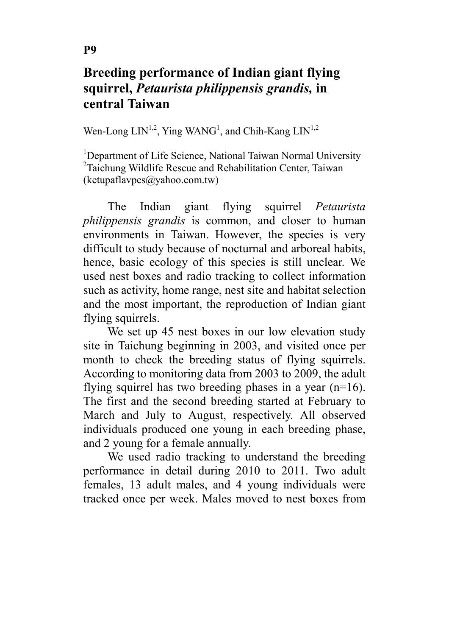## Breeding performance of Indian giant flying squirrel, Petaurista philippensis grandis, in central Taiwan

Wen-Long  $LIN^{1,2}$ , Ying WANG<sup>1</sup>, and Chih-Kang  $LIN^{1,2}$ 

<sup>1</sup>Department of Life Science, National Taiwan Normal University <sup>2</sup>Taichung Wildlife Rescue and Rehabilitation Center, Taiwan (ketupaflavpes@yahoo.com.tw)

The Indian giant flying squirrel *Petaurista* philippensis grandis is common, and closer to human environments in Taiwan. However, the species is very difficult to study because of nocturnal and arboreal habits, hence, basic ecology of this species is still unclear. We used nest boxes and radio tracking to collect information such as activity, home range, nest site and habitat selection and the most important, the reproduction of Indian giant flying squirrels.

We set up 45 nest boxes in our low elevation study site in Taichung beginning in 2003, and visited once per month to check the breeding status of flying squirrels. According to monitoring data from 2003 to 2009, the adult flying squirrel has two breeding phases in a year (n=16). The first and the second breeding started at February to March and July to August, respectively. All observed individuals produced one young in each breeding phase, and 2 young for a female annually.

We used radio tracking to understand the breeding performance in detail during 2010 to 2011. Two adult females, 13 adult males, and 4 young individuals were tracked once per week. Males moved to nest boxes from